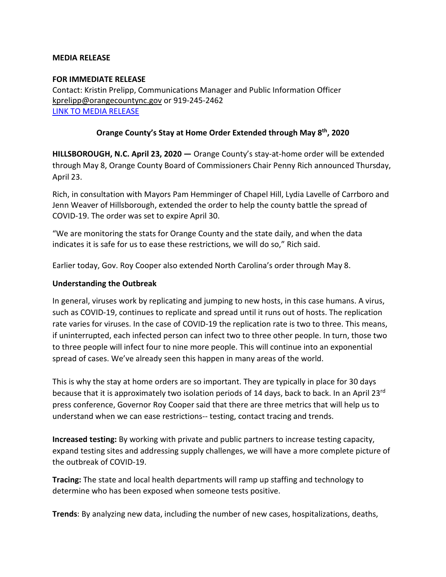## **MEDIA RELEASE**

## **FOR IMMEDIATE RELEASE**

Contact: Kristin Prelipp, Communications Manager and Public Information Officer [kprelipp@orangecountync.gov](mailto:kprelipp@orangecountync.gov) or 919-245-2462 [LINK TO MEDIA RELEASE](https://www.orangecountync.gov/DocumentCenter/View/10851/Orange_county_to_extend_stay_at_home_order_through_may_8_FINAL)

## **Orange County's Stay at Home Order Extended through May 8th, 2020**

**HILLSBOROUGH, N.C. April 23, 2020 ―** Orange County's stay-at-home order will be extended through May 8, Orange County Board of Commissioners Chair Penny Rich announced Thursday, April 23.

Rich, in consultation with Mayors Pam Hemminger of Chapel Hill, Lydia Lavelle of Carrboro and Jenn Weaver of Hillsborough, extended the order to help the county battle the spread of COVID-19. The order was set to expire April 30.

"We are monitoring the stats for Orange County and the state daily, and when the data indicates it is safe for us to ease these restrictions, we will do so," Rich said.

Earlier today, Gov. Roy Cooper also extended North Carolina's order through May 8.

## **Understanding the Outbreak**

In general, viruses work by replicating and jumping to new hosts, in this case humans. A virus, such as COVID-19, continues to replicate and spread until it runs out of hosts. The replication rate varies for viruses. In the case of COVID-19 the replication rate is two to three. This means, if uninterrupted, each infected person can infect two to three other people. In turn, those two to three people will infect four to nine more people. This will continue into an exponential spread of cases. We've already seen this happen in many areas of the world.

This is why the stay at home orders are so important. They are typically in place for 30 days because that it is approximately two isolation periods of 14 days, back to back. In an April 23rd press conference, Governor Roy Cooper said that there are three metrics that will help us to understand when we can ease restrictions-- testing, contact tracing and trends.

**Increased testing:** By working with private and public partners to increase testing capacity, expand testing sites and addressing supply challenges, we will have a more complete picture of the outbreak of COVID-19.

**Tracing:** The state and local health departments will ramp up staffing and technology to determine who has been exposed when someone tests positive.

**Trends**: By analyzing new data, including the number of new cases, hospitalizations, deaths,